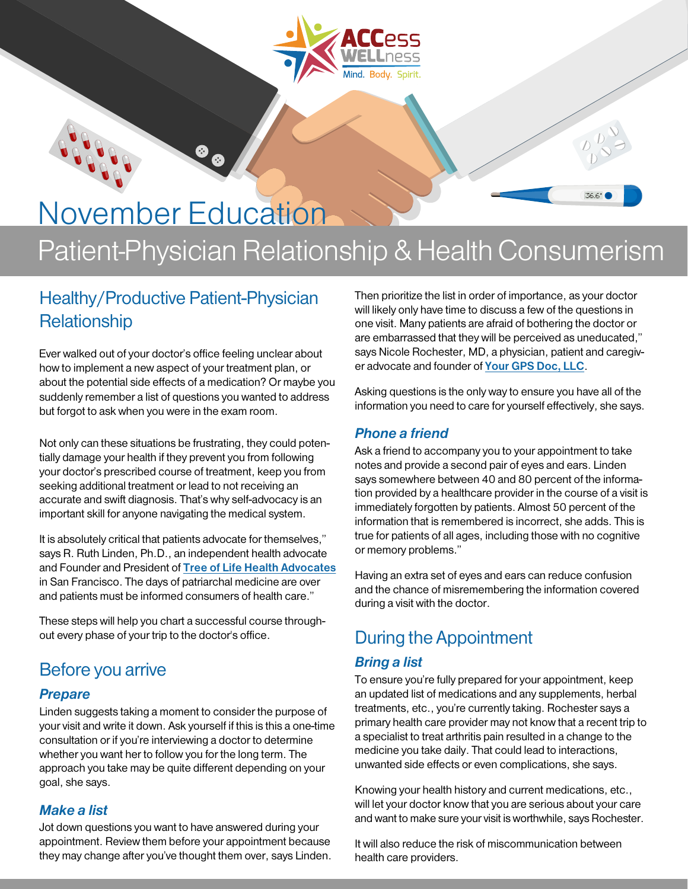

# November Education

## Patient-Physician Relationship & Health Consumerism

## Healthy/Productive Patient-Physician **Relationship**

Ever walked out of your doctor's office feeling unclear about how to implement a new aspect of your treatment plan, or about the potential side effects of a medication? Or maybe you suddenly remember a list of questions you wanted to address but forgot to ask when you were in the exam room.

Not only can these situations be frustrating, they could potentially damage your health if they prevent you from following your doctor's prescribed course of treatment, keep you from seeking additional treatment or lead to not receiving an accurate and swift diagnosis. That's why self-advocacy is an important skill for anyone navigating the medical system.

It is absolutely critical that patients advocate for themselves," says R. Ruth Linden, Ph.D., an independent health advocate and Founder and President of [Tree of Life Health Advocates](https://www.treeoflifehealthadvocates.com) in San Francisco. The days of patriarchal medicine are over and patients must be informed consumers of health care."

These steps will help you chart a successful course throughout every phase of your trip to the doctor's office.

## Before you arrive

#### **Prepare**

Linden suggests taking a moment to consider the purpose of your visit and write it down. Ask yourself if this is this a one-time consultation or if you're interviewing a doctor to determine whether you want her to follow you for the long term. The approach you take may be quite different depending on your goal, she says.

#### Make a list

Jot down questions you want to have answered during your appointment. Review them before your appointment because they may change after you've thought them over, says Linden. Then prioritize the list in order of importance, as your doctor will likely only have time to discuss a few of the questions in one visit. Many patients are afraid of bothering the doctor or are embarrassed that they will be perceived as uneducated," says Nicole Rochester, MD, a physician, patient and caregiver advocate and founder of [Your GPS Doc, LLC](http://yourgpsdoc.com).

Asking questions is the only way to ensure you have all of the information you need to care for yourself effectively, she says.

#### Phone a friend

Ask a friend to accompany you to your appointment to take notes and provide a second pair of eyes and ears. Linden says somewhere between 40 and 80 percent of the information provided by a healthcare provider in the course of a visit is immediately forgotten by patients. Almost 50 percent of the information that is remembered is incorrect, she adds. This is true for patients of all ages, including those with no cognitive or memory problems."

Having an extra set of eyes and ears can reduce confusion and the chance of misremembering the information covered during a visit with the doctor.

## During the Appointment

#### Bring a list

To ensure you're fully prepared for your appointment, keep an updated list of medications and any supplements, herbal treatments, etc., you're currently taking. Rochester says a primary health care provider may not know that a recent trip to a specialist to treat arthritis pain resulted in a change to the medicine you take daily. That could lead to interactions, unwanted side effects or even complications, she says.

Knowing your health history and current medications, etc., will let your doctor know that you are serious about your care and want to make sure your visit is worthwhile, says Rochester.

It will also reduce the risk of miscommunication between health care providers.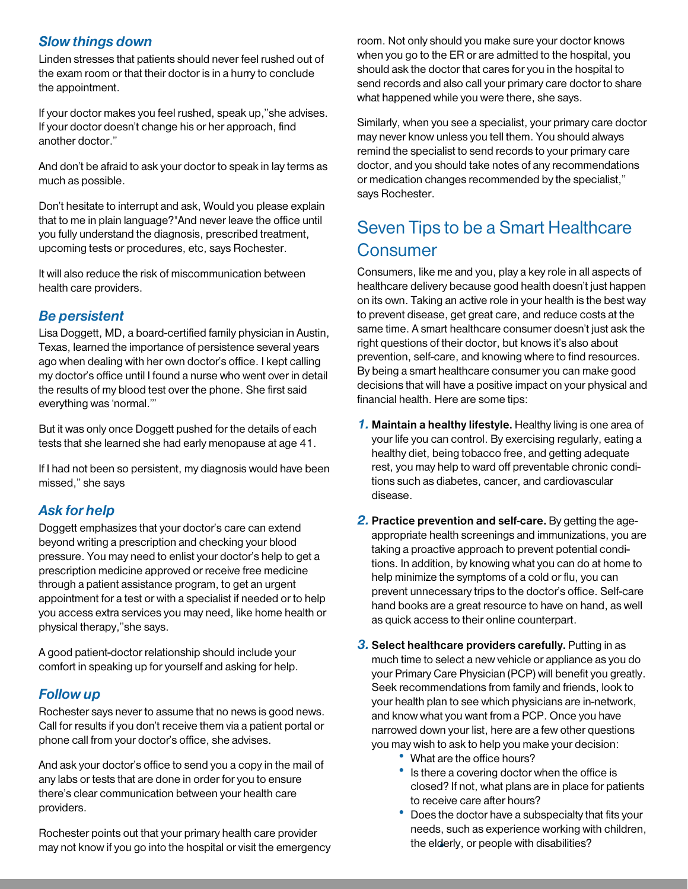#### Slow things down

Linden stresses that patients should never feel rushed out of the exam room or that their doctor is in a hurry to conclude the appointment.

If your doctor makes you feel rushed, speak up,"she advises. If your doctor doesn't change his or her approach, find another doctor."

And don't be afraid to ask your doctor to speak in lay terms as much as possible.

Don't hesitate to interrupt and ask, Would you please explain that to me in plain language?"And never leave the office until you fully understand the diagnosis, prescribed treatment, upcoming tests or procedures, etc, says Rochester.

It will also reduce the risk of miscommunication between health care providers.

#### Be persistent

Lisa Doggett, MD, a board-certified family physician in Austin, Texas, learned the importance of persistence several years ago when dealing with her own doctor's office. I kept calling my doctor's office until I found a nurse who went over in detail the results of my blood test over the phone. She first said everything was 'normal.'"

But it was only once Doggett pushed for the details of each tests that she learned she had early menopause at age 41.

If I had not been so persistent, my diagnosis would have been missed," she says

#### Ask for help

Doggett emphasizes that your doctor's care can extend beyond writing a prescription and checking your blood pressure. You may need to enlist your doctor's help to get a prescription medicine approved or receive free medicine through a patient assistance program, to get an urgent appointment for a test or with a specialist if needed or to help you access extra services you may need, like home health or physical therapy,"she says.

A good patient-doctor relationship should include your comfort in speaking up for yourself and asking for help.

#### Follow up

Rochester says never to assume that no news is good news. Call for results if you don't receive them via a patient portal or phone call from your doctor's office, she advises.

And ask your doctor's office to send you a copy in the mail of any labs or tests that are done in order for you to ensure there's clear communication between your health care providers.

Rochester points out that your primary health care provider may not know if you go into the hospital or visit the emergency

room. Not only should you make sure your doctor knows when you go to the ER or are admitted to the hospital, you should ask the doctor that cares for you in the hospital to send records and also call your primary care doctor to share what happened while you were there, she says.

Similarly, when you see a specialist, your primary care doctor may never know unless you tell them. You should always remind the specialist to send records to your primary care doctor, and you should take notes of any recommendations or medication changes recommended by the specialist," says Rochester.

## Seven Tips to be a Smart Healthcare **Consumer**

Consumers, like me and you, play a key role in all aspects of healthcare delivery because good health doesn't just happen on its own. Taking an active role in your health is the best way to prevent disease, get great care, and reduce costs at the same time. A smart healthcare consumer doesn't just ask the right questions of their doctor, but knows it's also about prevention, self-care, and knowing where to find resources. By being a smart healthcare consumer you can make good decisions that will have a positive impact on your physical and financial health. Here are some tips:

- 1. Maintain a healthy lifestyle. Healthy living is one area of your life you can control. By exercising regularly, eating a healthy diet, being tobacco free, and getting adequate rest, you may help to ward off preventable chronic conditions such as diabetes, cancer, and cardiovascular disease.
- **2. Practice prevention and self-care.** By getting the ageappropriate health screenings and immunizations, you are taking a proactive approach to prevent potential conditions. In addition, by knowing what you can do at home to help minimize the symptoms of a cold or flu, you can prevent unnecessary trips to the doctor's office. Self-care hand books are a great resource to have on hand, as well as quick access to their online counterpart.
- **3. Select healthcare providers carefully.** Putting in as much time to select a new vehicle or appliance as you do your Primary Care Physician (PCP) will benefit you greatly. Seek recommendations from family and friends, look to your health plan to see which physicians are in-network, and know what you want from a PCP. Once you have narrowed down your list, here are a few other questions you may wish to ask to help you make your decision:
	- What are the office hours?
	- Is there a covering doctor when the office is closed? If not, what plans are in place for patients to receive care after hours?
	- Does the doctor have a subspecialty that fits your needs, such as experience working with children, • the elderly, or people with disabilities?